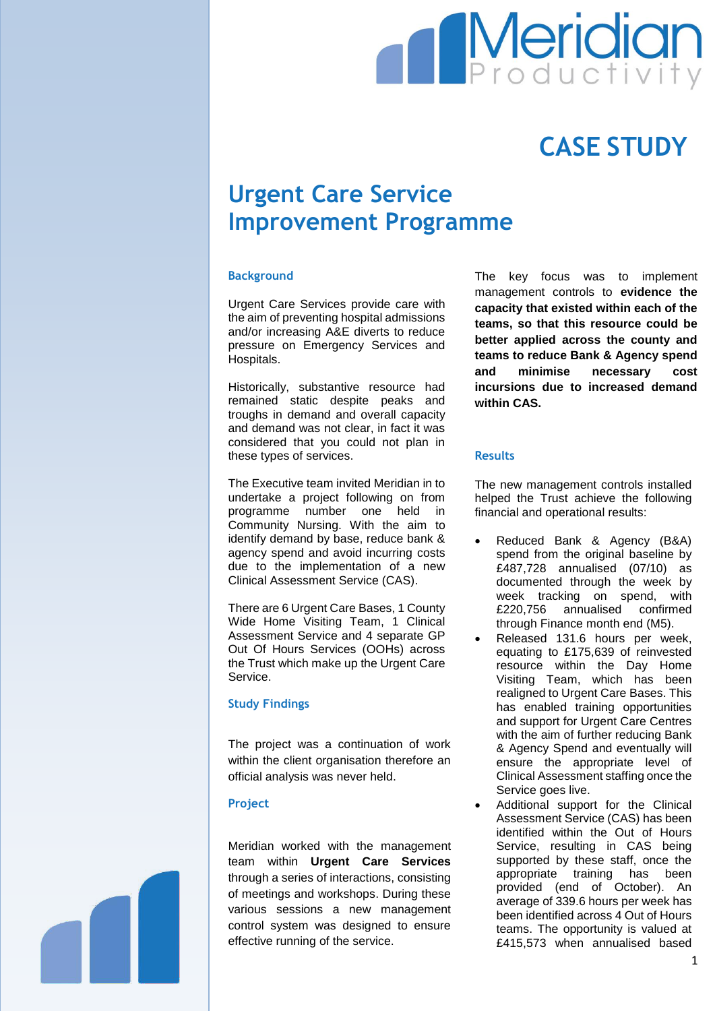

# **CASE STUDY**

# **Urgent Care Service Improvement Programme**

# **Background**

Urgent Care Services provide care with the aim of preventing hospital admissions and/or increasing A&E diverts to reduce pressure on Emergency Services and Hospitals.

Historically, substantive resource had remained static despite peaks and troughs in demand and overall capacity and demand was not clear, in fact it was considered that you could not plan in these types of services.

The Executive team invited Meridian in to undertake a project following on from programme number one held in Community Nursing. With the aim to identify demand by base, reduce bank & agency spend and avoid incurring costs due to the implementation of a new Clinical Assessment Service (CAS).

There are 6 Urgent Care Bases, 1 County Wide Home Visiting Team, 1 Clinical Assessment Service and 4 separate GP Out Of Hours Services (OOHs) across the Trust which make up the Urgent Care Service.

#### **Study Findings**

The project was a continuation of work within the client organisation therefore an official analysis was never held.

#### **Project**

Meridian worked with the management team within **Urgent Care Services** through a series of interactions, consisting of meetings and workshops. During these various sessions a new management control system was designed to ensure effective running of the service.

The key focus was to implement management controls to **evidence the capacity that existed within each of the teams, so that this resource could be better applied across the county and teams to reduce Bank & Agency spend and minimise necessary cost incursions due to increased demand within CAS.** 

# **Results**

The new management controls installed helped the Trust achieve the following financial and operational results:

- Reduced Bank & Agency (B&A) spend from the original baseline by £487,728 annualised (07/10) as documented through the week by week tracking on spend, with £220,756 annualised confirmed through Finance month end (M5).
- Released 131.6 hours per week, equating to £175,639 of reinvested resource within the Day Home Visiting Team, which has been realigned to Urgent Care Bases. This has enabled training opportunities and support for Urgent Care Centres with the aim of further reducing Bank & Agency Spend and eventually will ensure the appropriate level of Clinical Assessment staffing once the Service goes live.
- Additional support for the Clinical Assessment Service (CAS) has been identified within the Out of Hours Service, resulting in CAS being supported by these staff, once the appropriate training has been provided (end of October). An average of 339.6 hours per week has been identified across 4 Out of Hours teams. The opportunity is valued at £415,573 when annualised based